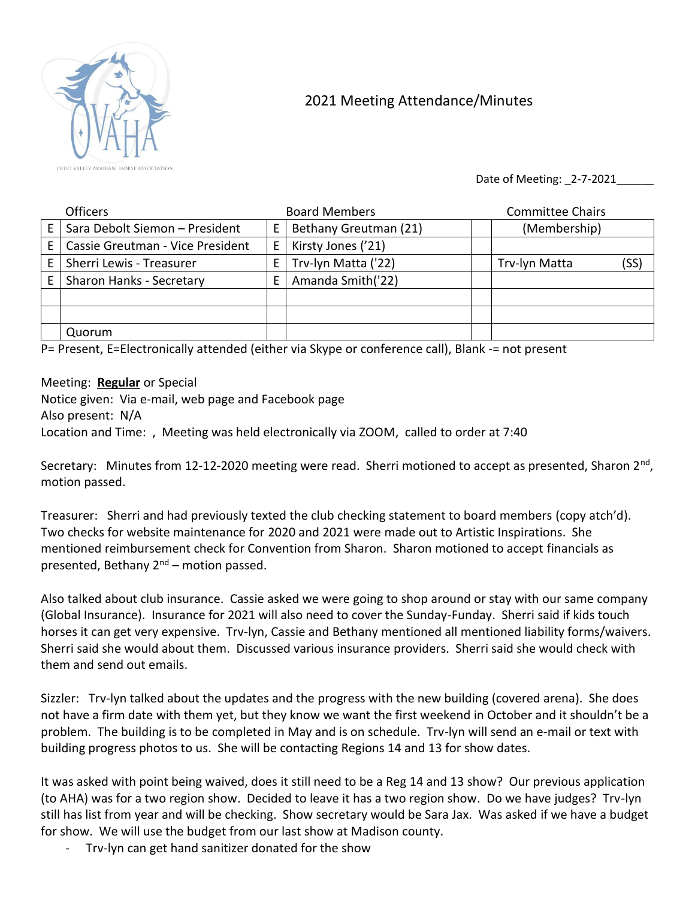

## 2021 Meeting Attendance/Minutes

Date of Meeting: 2-7-2021

|    | <b>Officers</b>                  |   | <b>Board Members</b>  | <b>Committee Chairs</b> |      |
|----|----------------------------------|---|-----------------------|-------------------------|------|
| F. | Sara Debolt Siemon - President   | E | Bethany Greutman (21) | (Membership)            |      |
|    | Cassie Greutman - Vice President | E | Kirsty Jones ('21)    |                         |      |
|    | Sherri Lewis - Treasurer         | Е | Trv-lyn Matta ('22)   | Trv-lyn Matta           | (SS) |
|    | Sharon Hanks - Secretary         | F | Amanda Smith('22)     |                         |      |
|    |                                  |   |                       |                         |      |
|    |                                  |   |                       |                         |      |
|    | Quorum                           |   |                       |                         |      |

P= Present, E=Electronically attended (either via Skype or conference call), Blank -= not present

Meeting: **Regular** or Special

Notice given: Via e-mail, web page and Facebook page Also present: N/A Location and Time: , Meeting was held electronically via ZOOM, called to order at 7:40

Secretary: Minutes from 12-12-2020 meeting were read. Sherri motioned to accept as presented, Sharon 2<sup>nd</sup>, motion passed.

Treasurer: Sherri and had previously texted the club checking statement to board members (copy atch'd). Two checks for website maintenance for 2020 and 2021 were made out to Artistic Inspirations. She mentioned reimbursement check for Convention from Sharon. Sharon motioned to accept financials as presented, Bethany  $2^{nd}$  – motion passed.

Also talked about club insurance. Cassie asked we were going to shop around or stay with our same company (Global Insurance). Insurance for 2021 will also need to cover the Sunday-Funday. Sherri said if kids touch horses it can get very expensive. Trv-lyn, Cassie and Bethany mentioned all mentioned liability forms/waivers. Sherri said she would about them. Discussed various insurance providers. Sherri said she would check with them and send out emails.

Sizzler: Trv-lyn talked about the updates and the progress with the new building (covered arena). She does not have a firm date with them yet, but they know we want the first weekend in October and it shouldn't be a problem. The building is to be completed in May and is on schedule. Trv-lyn will send an e-mail or text with building progress photos to us. She will be contacting Regions 14 and 13 for show dates.

It was asked with point being waived, does it still need to be a Reg 14 and 13 show? Our previous application (to AHA) was for a two region show. Decided to leave it has a two region show. Do we have judges? Trv-lyn still has list from year and will be checking. Show secretary would be Sara Jax. Was asked if we have a budget for show. We will use the budget from our last show at Madison county.

- Trv-lyn can get hand sanitizer donated for the show